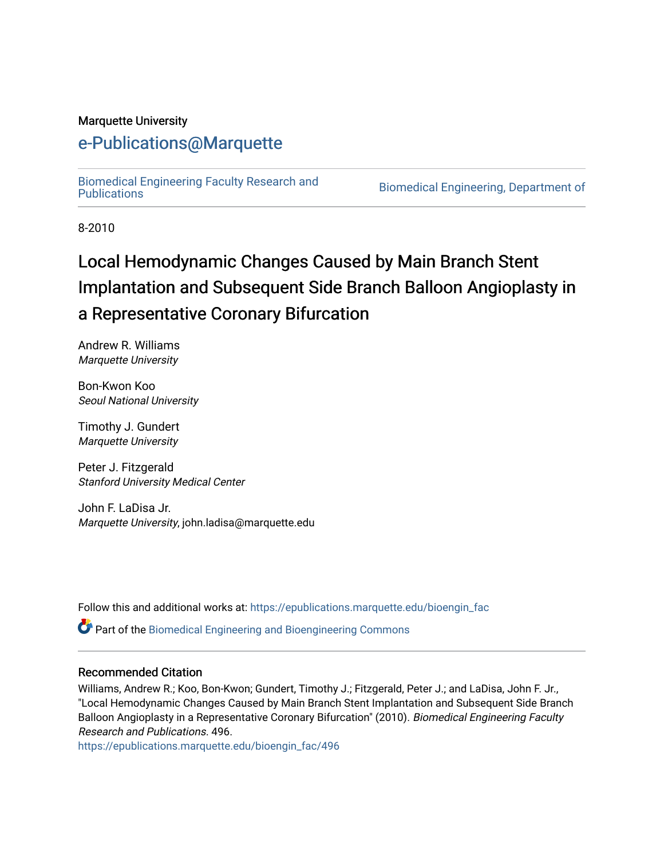#### Marquette University

## [e-Publications@Marquette](https://epublications.marquette.edu/)

[Biomedical Engineering Faculty Research and](https://epublications.marquette.edu/bioengin_fac) 

Biomedical Engineering, Department of

8-2010

## Local Hemodynamic Changes Caused by Main Branch Stent Implantation and Subsequent Side Branch Balloon Angioplasty in a Representative Coronary Bifurcation

Andrew R. Williams Marquette University

Bon-Kwon Koo Seoul National University

Timothy J. Gundert Marquette University

Peter J. Fitzgerald Stanford University Medical Center

John F. LaDisa Jr. Marquette University, john.ladisa@marquette.edu

Follow this and additional works at: [https://epublications.marquette.edu/bioengin\\_fac](https://epublications.marquette.edu/bioengin_fac?utm_source=epublications.marquette.edu%2Fbioengin_fac%2F496&utm_medium=PDF&utm_campaign=PDFCoverPages)

**P** Part of the Biomedical Engineering and Bioengineering Commons

#### Recommended Citation

Williams, Andrew R.; Koo, Bon-Kwon; Gundert, Timothy J.; Fitzgerald, Peter J.; and LaDisa, John F. Jr., "Local Hemodynamic Changes Caused by Main Branch Stent Implantation and Subsequent Side Branch Balloon Angioplasty in a Representative Coronary Bifurcation" (2010). Biomedical Engineering Faculty Research and Publications. 496.

[https://epublications.marquette.edu/bioengin\\_fac/496](https://epublications.marquette.edu/bioengin_fac/496?utm_source=epublications.marquette.edu%2Fbioengin_fac%2F496&utm_medium=PDF&utm_campaign=PDFCoverPages)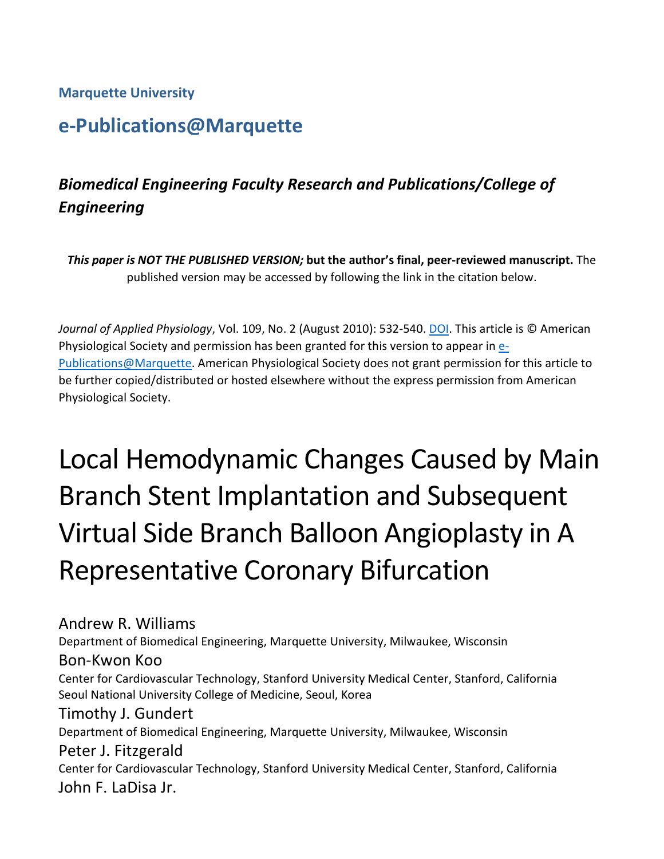## **Marquette University**

## **e-Publications@Marquette**

## *Biomedical Engineering Faculty Research and Publications/College of Engineering*

*This paper is NOT THE PUBLISHED VERSION;* **but the author's final, peer-reviewed manuscript.** The published version may be accessed by following the link in the citation below.

*Journal of Applied Physiology*, Vol. 109, No. 2 (August 2010): 532-540[. DOI.](https://doi.org/10.1152/japplphysiol.00086.2010) This article is © American Physiological Society and permission has been granted for this version to appear in [e-](http://epublications.marquette.edu/)[Publications@Marquette.](http://epublications.marquette.edu/) American Physiological Society does not grant permission for this article to be further copied/distributed or hosted elsewhere without the express permission from American Physiological Society.

# Local Hemodynamic Changes Caused by Main Branch Stent Implantation and Subsequent Virtual Side Branch Balloon Angioplasty in A Representative Coronary Bifurcation

## Andrew R. Williams

Department of Biomedical Engineering, Marquette University, Milwaukee, Wisconsin

#### Bon-Kwon Koo

Center for Cardiovascular Technology, Stanford University Medical Center, Stanford, California Seoul National University College of Medicine, Seoul, Korea

#### Timothy J. Gundert

Department of Biomedical Engineering, Marquette University, Milwaukee, Wisconsin

#### Peter J. Fitzgerald

Center for Cardiovascular Technology, Stanford University Medical Center, Stanford, California John F. LaDisa Jr.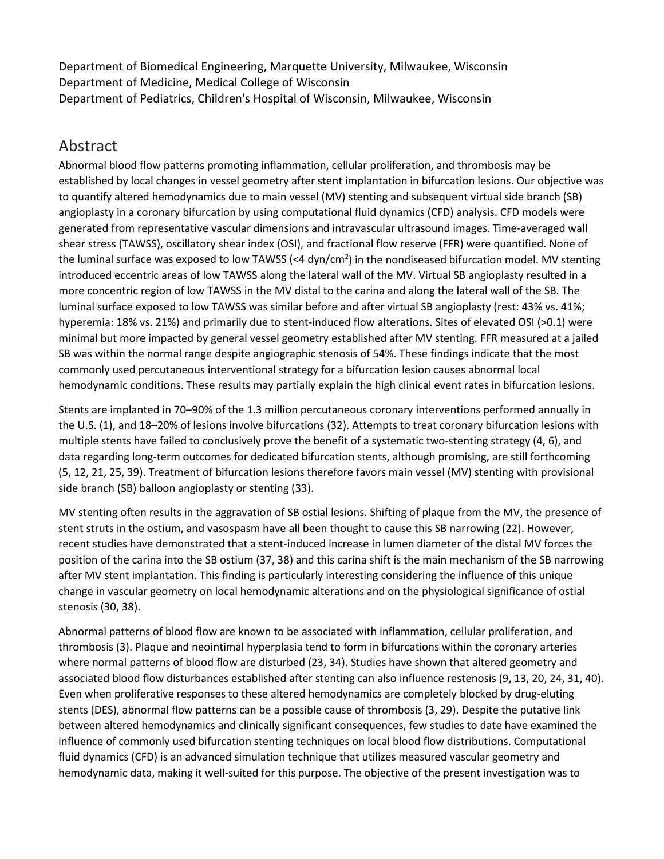Department of Biomedical Engineering, Marquette University, Milwaukee, Wisconsin Department of Medicine, Medical College of Wisconsin Department of Pediatrics, Children's Hospital of Wisconsin, Milwaukee, Wisconsin

## Abstract

Abnormal blood flow patterns promoting inflammation, cellular proliferation, and thrombosis may be established by local changes in vessel geometry after stent implantation in bifurcation lesions. Our objective was to quantify altered hemodynamics due to main vessel (MV) stenting and subsequent virtual side branch (SB) angioplasty in a coronary bifurcation by using computational fluid dynamics (CFD) analysis. CFD models were generated from representative vascular dimensions and intravascular ultrasound images. Time-averaged wall shear stress (TAWSS), oscillatory shear index (OSI), and fractional flow reserve (FFR) were quantified. None of the luminal surface was exposed to low TAWSS (<4 dyn/cm<sup>2</sup>) in the nondiseased bifurcation model. MV stenting introduced eccentric areas of low TAWSS along the lateral wall of the MV. Virtual SB angioplasty resulted in a more concentric region of low TAWSS in the MV distal to the carina and along the lateral wall of the SB. The luminal surface exposed to low TAWSS was similar before and after virtual SB angioplasty (rest: 43% vs. 41%; hyperemia: 18% vs. 21%) and primarily due to stent-induced flow alterations. Sites of elevated OSI (>0.1) were minimal but more impacted by general vessel geometry established after MV stenting. FFR measured at a jailed SB was within the normal range despite angiographic stenosis of 54%. These findings indicate that the most commonly used percutaneous interventional strategy for a bifurcation lesion causes abnormal local hemodynamic conditions. These results may partially explain the high clinical event rates in bifurcation lesions.

Stents are implanted in 70–90% of the 1.3 million percutaneous coronary interventions performed annually in the U.S. (1), and 18–20% of lesions involve bifurcations (32). Attempts to treat coronary bifurcation lesions with multiple stents have failed to conclusively prove the benefit of a systematic two-stenting strategy (4, 6), and data regarding long-term outcomes for dedicated bifurcation stents, although promising, are still forthcoming (5, 12, 21, 25, 39). Treatment of bifurcation lesions therefore favors main vessel (MV) stenting with provisional side branch (SB) balloon angioplasty or stenting (33).

MV stenting often results in the aggravation of SB ostial lesions. Shifting of plaque from the MV, the presence of stent struts in the ostium, and vasospasm have all been thought to cause this SB narrowing (22). However, recent studies have demonstrated that a stent-induced increase in lumen diameter of the distal MV forces the position of the carina into the SB ostium (37, 38) and this carina shift is the main mechanism of the SB narrowing after MV stent implantation. This finding is particularly interesting considering the influence of this unique change in vascular geometry on local hemodynamic alterations and on the physiological significance of ostial stenosis (30, 38).

Abnormal patterns of blood flow are known to be associated with inflammation, cellular proliferation, and thrombosis (3). Plaque and neointimal hyperplasia tend to form in bifurcations within the coronary arteries where normal patterns of blood flow are disturbed (23, 34). Studies have shown that altered geometry and associated blood flow disturbances established after stenting can also influence restenosis (9, 13, 20, 24, 31, 40). Even when proliferative responses to these altered hemodynamics are completely blocked by drug-eluting stents (DES), abnormal flow patterns can be a possible cause of thrombosis (3, 29). Despite the putative link between altered hemodynamics and clinically significant consequences, few studies to date have examined the influence of commonly used bifurcation stenting techniques on local blood flow distributions. Computational fluid dynamics (CFD) is an advanced simulation technique that utilizes measured vascular geometry and hemodynamic data, making it well-suited for this purpose. The objective of the present investigation was to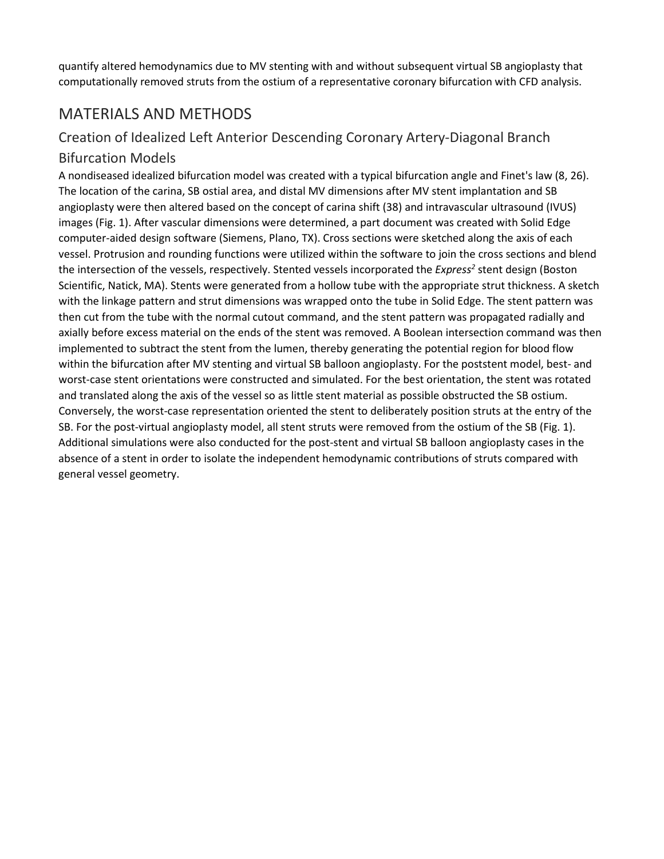quantify altered hemodynamics due to MV stenting with and without subsequent virtual SB angioplasty that computationally removed struts from the ostium of a representative coronary bifurcation with CFD analysis.

## MATERIALS AND METHODS

## Creation of Idealized Left Anterior Descending Coronary Artery-Diagonal Branch

#### Bifurcation Models

A nondiseased idealized bifurcation model was created with a typical bifurcation angle and Finet's law (8, 26). The location of the carina, SB ostial area, and distal MV dimensions after MV stent implantation and SB angioplasty were then altered based on the concept of carina shift (38) and intravascular ultrasound (IVUS) images (Fig. 1). After vascular dimensions were determined, a part document was created with Solid Edge computer-aided design software (Siemens, Plano, TX). Cross sections were sketched along the axis of each vessel. Protrusion and rounding functions were utilized within the software to join the cross sections and blend the intersection of the vessels, respectively. Stented vessels incorporated the *Express<sup>2</sup>* stent design (Boston Scientific, Natick, MA). Stents were generated from a hollow tube with the appropriate strut thickness. A sketch with the linkage pattern and strut dimensions was wrapped onto the tube in Solid Edge. The stent pattern was then cut from the tube with the normal cutout command, and the stent pattern was propagated radially and axially before excess material on the ends of the stent was removed. A Boolean intersection command was then implemented to subtract the stent from the lumen, thereby generating the potential region for blood flow within the bifurcation after MV stenting and virtual SB balloon angioplasty. For the poststent model, best- and worst-case stent orientations were constructed and simulated. For the best orientation, the stent was rotated and translated along the axis of the vessel so as little stent material as possible obstructed the SB ostium. Conversely, the worst-case representation oriented the stent to deliberately position struts at the entry of the SB. For the post-virtual angioplasty model, all stent struts were removed from the ostium of the SB (Fig. 1). Additional simulations were also conducted for the post-stent and virtual SB balloon angioplasty cases in the absence of a stent in order to isolate the independent hemodynamic contributions of struts compared with general vessel geometry.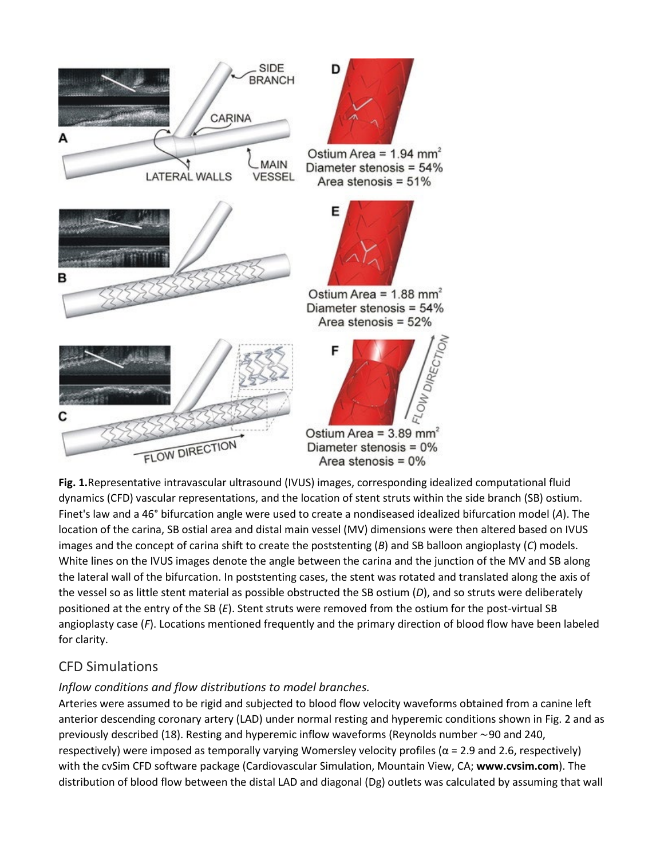

**Fig. 1.**Representative intravascular ultrasound (IVUS) images, corresponding idealized computational fluid dynamics (CFD) vascular representations, and the location of stent struts within the side branch (SB) ostium. Finet's law and a 46° bifurcation angle were used to create a nondiseased idealized bifurcation model (*A*). The location of the carina, SB ostial area and distal main vessel (MV) dimensions were then altered based on IVUS images and the concept of carina shift to create the poststenting (*B*) and SB balloon angioplasty (*C*) models. White lines on the IVUS images denote the angle between the carina and the junction of the MV and SB along the lateral wall of the bifurcation. In poststenting cases, the stent was rotated and translated along the axis of the vessel so as little stent material as possible obstructed the SB ostium (*D*), and so struts were deliberately positioned at the entry of the SB (*E*). Stent struts were removed from the ostium for the post-virtual SB angioplasty case (*F*). Locations mentioned frequently and the primary direction of blood flow have been labeled for clarity.

## CFD Simulations

## *Inflow conditions and flow distributions to model branches.*

Arteries were assumed to be rigid and subjected to blood flow velocity waveforms obtained from a canine left anterior descending coronary artery (LAD) under normal resting and hyperemic conditions shown in Fig. 2 and as previously described (18). Resting and hyperemic inflow waveforms (Reynolds number ∼90 and 240, respectively) were imposed as temporally varying Womersley velocity profiles ( $\alpha$  = 2.9 and 2.6, respectively) with the cvSim CFD software package (Cardiovascular Simulation, Mountain View, CA; **www.cvsim.com**). The distribution of blood flow between the distal LAD and diagonal (Dg) outlets was calculated by assuming that wall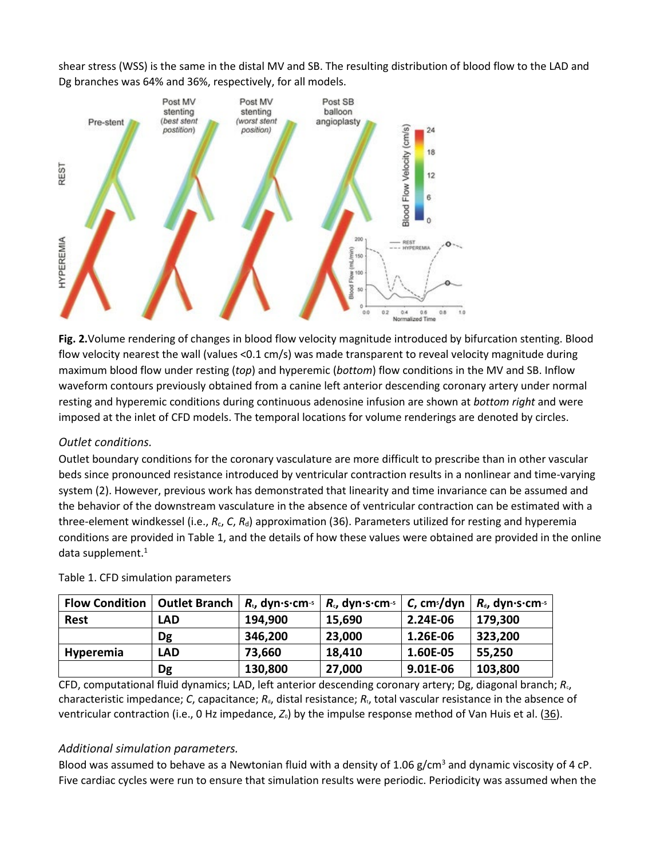shear stress (WSS) is the same in the distal MV and SB. The resulting distribution of blood flow to the LAD and Dg branches was 64% and 36%, respectively, for all models.



**Fig. 2.**Volume rendering of changes in blood flow velocity magnitude introduced by bifurcation stenting. Blood flow velocity nearest the wall (values <0.1 cm/s) was made transparent to reveal velocity magnitude during maximum blood flow under resting (*top*) and hyperemic (*bottom*) flow conditions in the MV and SB. Inflow waveform contours previously obtained from a canine left anterior descending coronary artery under normal resting and hyperemic conditions during continuous adenosine infusion are shown at *bottom right* and were imposed at the inlet of CFD models. The temporal locations for volume renderings are denoted by circles.

#### *Outlet conditions.*

Outlet boundary conditions for the coronary vasculature are more difficult to prescribe than in other vascular beds since pronounced resistance introduced by ventricular contraction results in a nonlinear and time-varying system (2). However, previous work has demonstrated that linearity and time invariance can be assumed and the behavior of the downstream vasculature in the absence of ventricular contraction can be estimated with a three-element windkessel (i.e., R<sub>c</sub>, C, R<sub>d</sub>) approximation (36). Parameters utilized for resting and hyperemia conditions are provided in Table 1, and the details of how these values were obtained are provided in the online data supplement. $1$ 

| <b>Flow Condition</b> | <b>Outlet Branch</b> | $R_{t}$ , dyn $\cdot$ s $\cdot$ cm $\cdot$ s | $R_{c}$ , dyn $\cdot$ s $\cdot$ cm $\cdot$ s | $C$ , cm <sup>5</sup> /dyn | $R_{d}$ , dyn · s · cm - s |
|-----------------------|----------------------|----------------------------------------------|----------------------------------------------|----------------------------|----------------------------|
| <b>Rest</b>           | LAD                  | 194,900                                      | 15,690                                       | 2.24E-06                   | 179,300                    |
|                       | Dg                   | 346,200                                      | 23,000                                       | 1.26E-06                   | 323,200                    |
| <b>Hyperemia</b>      | LAD                  | 73,660                                       | 18,410                                       | 1.60E-05                   | 55,250                     |
|                       | Dg                   | 130,800                                      | 27,000                                       | 9.01E-06                   | 103,800                    |

#### Table 1. CFD simulation parameters

CFD, computational fluid dynamics; LAD, left anterior descending coronary artery; Dg, diagonal branch; *R*c, characteristic impedance; *C*, capacitance; *R<sub>d</sub>*, distal resistance; *R<sub>t</sub>*, total vascular resistance in the absence of ventricular contraction (i.e., 0 Hz impedance, *Z*0) by the impulse response method of Van Huis et al. (36).

#### *Additional simulation parameters.*

Blood was assumed to behave as a Newtonian fluid with a density of 1.06  $g/cm<sup>3</sup>$  and dynamic viscosity of 4 cP. Five cardiac cycles were run to ensure that simulation results were periodic. Periodicity was assumed when the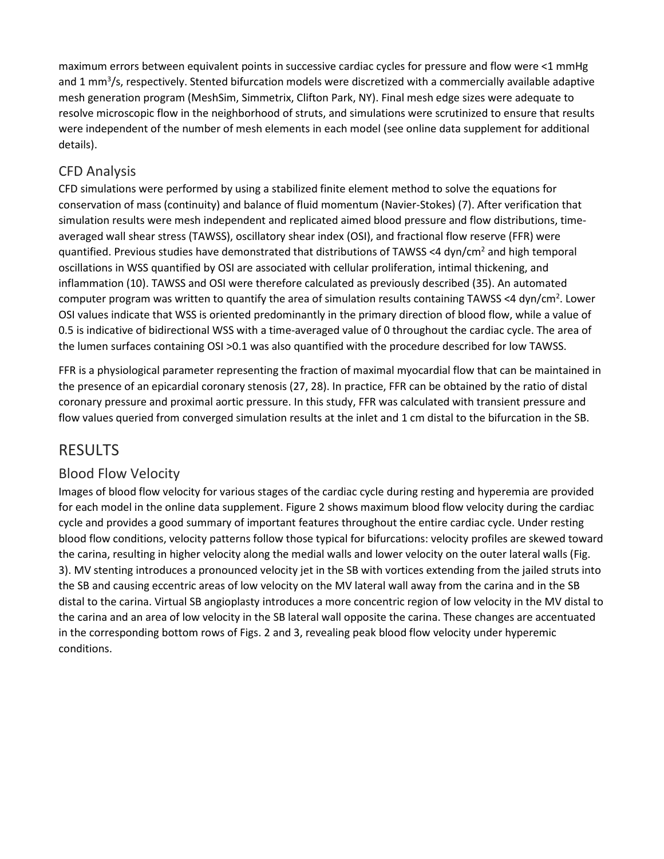maximum errors between equivalent points in successive cardiac cycles for pressure and flow were <1 mmHg and 1 mm<sup>3</sup>/s, respectively. Stented bifurcation models were discretized with a commercially available adaptive mesh generation program (MeshSim, Simmetrix, Clifton Park, NY). Final mesh edge sizes were adequate to resolve microscopic flow in the neighborhood of struts, and simulations were scrutinized to ensure that results were independent of the number of mesh elements in each model (see online data supplement for additional details).

## CFD Analysis

CFD simulations were performed by using a stabilized finite element method to solve the equations for conservation of mass (continuity) and balance of fluid momentum (Navier-Stokes) (7). After verification that simulation results were mesh independent and replicated aimed blood pressure and flow distributions, timeaveraged wall shear stress (TAWSS), oscillatory shear index (OSI), and fractional flow reserve (FFR) were quantified. Previous studies have demonstrated that distributions of TAWSS <4 dyn/cm<sup>2</sup> and high temporal oscillations in WSS quantified by OSI are associated with cellular proliferation, intimal thickening, and inflammation (10). TAWSS and OSI were therefore calculated as previously described (35). An automated computer program was written to quantify the area of simulation results containing TAWSS <4 dyn/cm<sup>2</sup>. Lower OSI values indicate that WSS is oriented predominantly in the primary direction of blood flow, while a value of 0.5 is indicative of bidirectional WSS with a time-averaged value of 0 throughout the cardiac cycle. The area of the lumen surfaces containing OSI >0.1 was also quantified with the procedure described for low TAWSS.

FFR is a physiological parameter representing the fraction of maximal myocardial flow that can be maintained in the presence of an epicardial coronary stenosis (27, 28). In practice, FFR can be obtained by the ratio of distal coronary pressure and proximal aortic pressure. In this study, FFR was calculated with transient pressure and flow values queried from converged simulation results at the inlet and 1 cm distal to the bifurcation in the SB.

## RESULTS

## Blood Flow Velocity

Images of blood flow velocity for various stages of the cardiac cycle during resting and hyperemia are provided for each model in the online data supplement. Figure 2 shows maximum blood flow velocity during the cardiac cycle and provides a good summary of important features throughout the entire cardiac cycle. Under resting blood flow conditions, velocity patterns follow those typical for bifurcations: velocity profiles are skewed toward the carina, resulting in higher velocity along the medial walls and lower velocity on the outer lateral walls (Fig. 3). MV stenting introduces a pronounced velocity jet in the SB with vortices extending from the jailed struts into the SB and causing eccentric areas of low velocity on the MV lateral wall away from the carina and in the SB distal to the carina. Virtual SB angioplasty introduces a more concentric region of low velocity in the MV distal to the carina and an area of low velocity in the SB lateral wall opposite the carina. These changes are accentuated in the corresponding bottom rows of Figs. 2 and 3, revealing peak blood flow velocity under hyperemic conditions.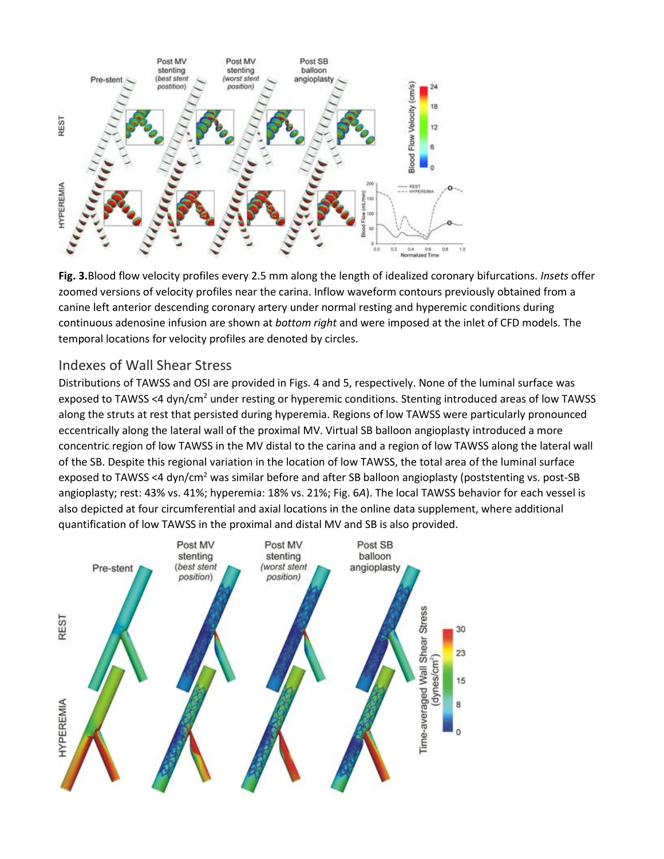

**Fig. 3.**Blood flow velocity profiles every 2.5 mm along the length of idealized coronary bifurcations. *Insets* offer zoomed versions of velocity profiles near the carina. Inflow waveform contours previously obtained from a canine left anterior descending coronary artery under normal resting and hyperemic conditions during continuous adenosine infusion are shown at *bottom right* and were imposed at the inlet of CFD models. The temporal locations for velocity profiles are denoted by circles.

#### Indexes of Wall Shear Stress

Distributions of TAWSS and OSI are provided in Figs. 4 and 5, respectively. None of the luminal surface was exposed to TAWSS <4 dyn/cm<sup>2</sup> under resting or hyperemic conditions. Stenting introduced areas of low TAWSS along the struts at rest that persisted during hyperemia. Regions of low TAWSS were particularly pronounced eccentrically along the lateral wall of the proximal MV. Virtual SB balloon angioplasty introduced a more concentric region of low TAWSS in the MV distal to the carina and a region of low TAWSS along the lateral wall of the SB. Despite this regional variation in the location of low TAWSS, the total area of the luminal surface exposed to TAWSS <4 dyn/cm<sup>2</sup> was similar before and after SB balloon angioplasty (poststenting vs. post-SB angioplasty; rest: 43% vs. 41%; hyperemia: 18% vs. 21%; Fig. 6*A*). The local TAWSS behavior for each vessel is also depicted at four circumferential and axial locations in the online data supplement, where additional quantification of low TAWSS in the proximal and distal MV and SB is also provided.

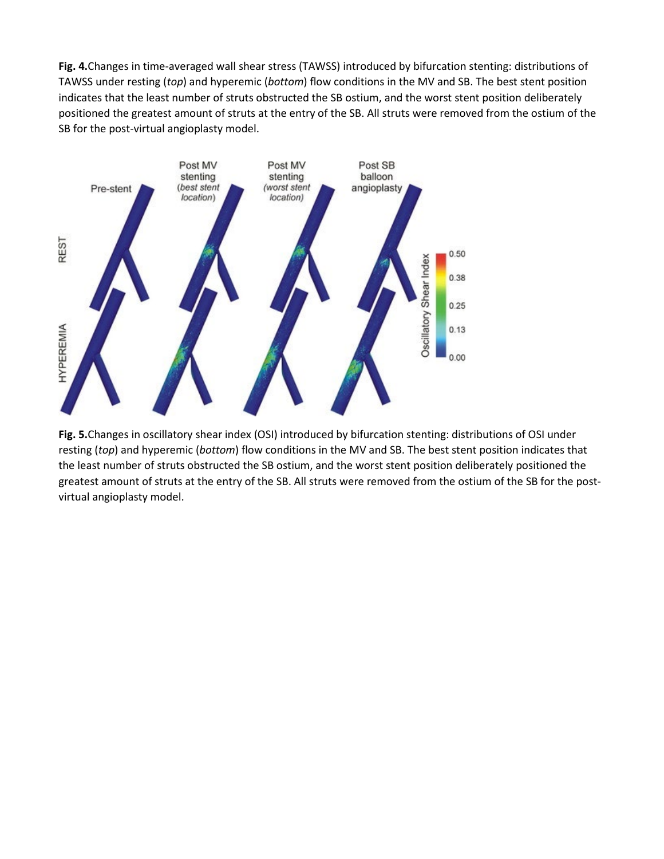**Fig. 4.**Changes in time-averaged wall shear stress (TAWSS) introduced by bifurcation stenting: distributions of TAWSS under resting (*top*) and hyperemic (*bottom*) flow conditions in the MV and SB. The best stent position indicates that the least number of struts obstructed the SB ostium, and the worst stent position deliberately positioned the greatest amount of struts at the entry of the SB. All struts were removed from the ostium of the SB for the post-virtual angioplasty model.



**Fig. 5.**Changes in oscillatory shear index (OSI) introduced by bifurcation stenting: distributions of OSI under resting (*top*) and hyperemic (*bottom*) flow conditions in the MV and SB. The best stent position indicates that the least number of struts obstructed the SB ostium, and the worst stent position deliberately positioned the greatest amount of struts at the entry of the SB. All struts were removed from the ostium of the SB for the postvirtual angioplasty model.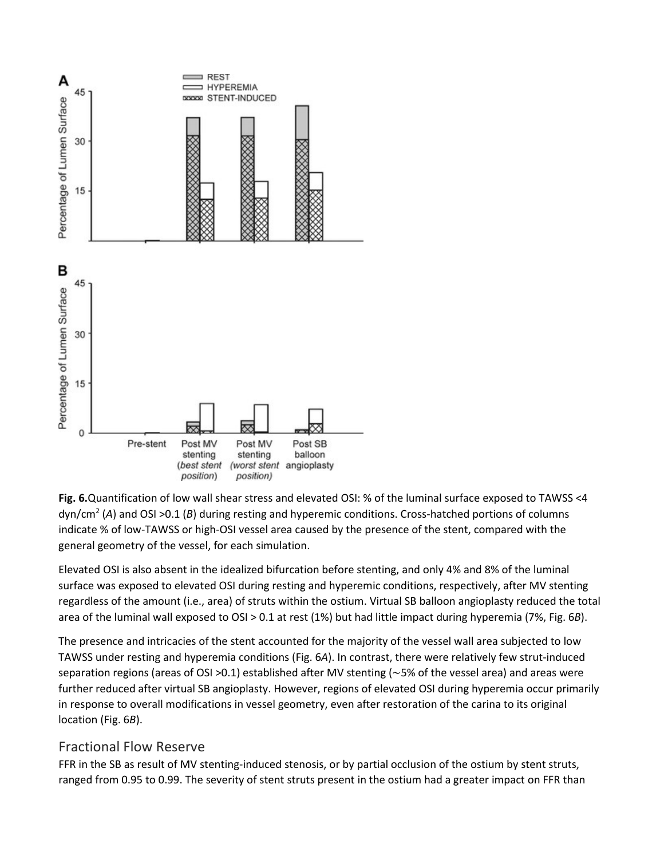

**Fig. 6.**Quantification of low wall shear stress and elevated OSI: % of the luminal surface exposed to TAWSS <4 dyn/cm2 (*A*) and OSI >0.1 (*B*) during resting and hyperemic conditions. Cross-hatched portions of columns indicate % of low-TAWSS or high-OSI vessel area caused by the presence of the stent, compared with the general geometry of the vessel, for each simulation.

Elevated OSI is also absent in the idealized bifurcation before stenting, and only 4% and 8% of the luminal surface was exposed to elevated OSI during resting and hyperemic conditions, respectively, after MV stenting regardless of the amount (i.e., area) of struts within the ostium. Virtual SB balloon angioplasty reduced the total area of the luminal wall exposed to OSI > 0.1 at rest (1%) but had little impact during hyperemia (7%, Fig. 6*B*).

The presence and intricacies of the stent accounted for the majority of the vessel wall area subjected to low TAWSS under resting and hyperemia conditions (Fig. 6*A*). In contrast, there were relatively few strut-induced separation regions (areas of OSI >0.1) established after MV stenting (∼5% of the vessel area) and areas were further reduced after virtual SB angioplasty. However, regions of elevated OSI during hyperemia occur primarily in response to overall modifications in vessel geometry, even after restoration of the carina to its original location (Fig. 6*B*).

## Fractional Flow Reserve

FFR in the SB as result of MV stenting-induced stenosis, or by partial occlusion of the ostium by stent struts, ranged from 0.95 to 0.99. The severity of stent struts present in the ostium had a greater impact on FFR than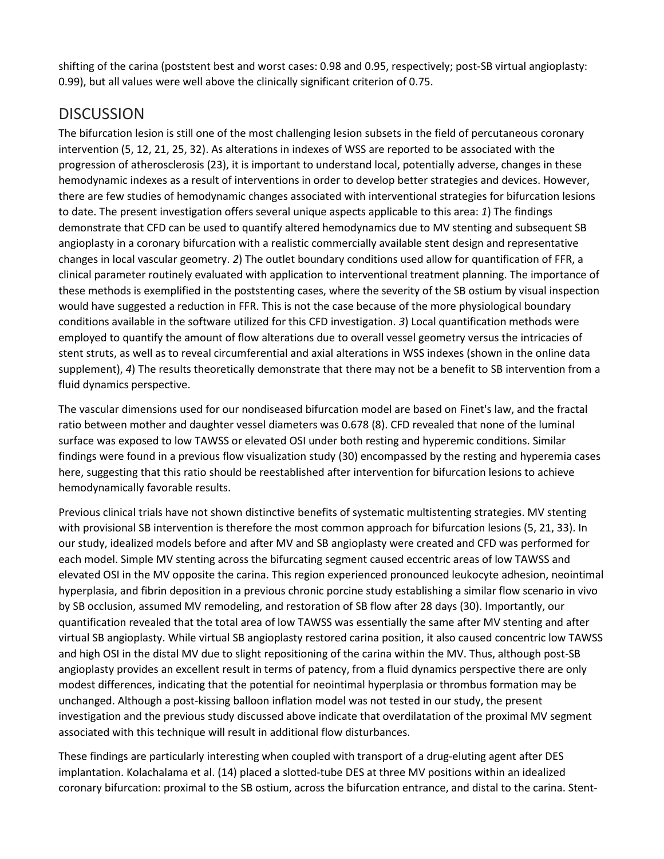shifting of the carina (poststent best and worst cases: 0.98 and 0.95, respectively; post-SB virtual angioplasty: 0.99), but all values were well above the clinically significant criterion of 0.75.

## **DISCUSSION**

The bifurcation lesion is still one of the most challenging lesion subsets in the field of percutaneous coronary intervention (5, 12, 21, 25, 32). As alterations in indexes of WSS are reported to be associated with the progression of atherosclerosis (23), it is important to understand local, potentially adverse, changes in these hemodynamic indexes as a result of interventions in order to develop better strategies and devices. However, there are few studies of hemodynamic changes associated with interventional strategies for bifurcation lesions to date. The present investigation offers several unique aspects applicable to this area: *1*) The findings demonstrate that CFD can be used to quantify altered hemodynamics due to MV stenting and subsequent SB angioplasty in a coronary bifurcation with a realistic commercially available stent design and representative changes in local vascular geometry. *2*) The outlet boundary conditions used allow for quantification of FFR, a clinical parameter routinely evaluated with application to interventional treatment planning. The importance of these methods is exemplified in the poststenting cases, where the severity of the SB ostium by visual inspection would have suggested a reduction in FFR. This is not the case because of the more physiological boundary conditions available in the software utilized for this CFD investigation. *3*) Local quantification methods were employed to quantify the amount of flow alterations due to overall vessel geometry versus the intricacies of stent struts, as well as to reveal circumferential and axial alterations in WSS indexes (shown in the online data supplement), 4) The results theoretically demonstrate that there may not be a benefit to SB intervention from a fluid dynamics perspective.

The vascular dimensions used for our nondiseased bifurcation model are based on Finet's law, and the fractal ratio between mother and daughter vessel diameters was 0.678 (8). CFD revealed that none of the luminal surface was exposed to low TAWSS or elevated OSI under both resting and hyperemic conditions. Similar findings were found in a previous flow visualization study (30) encompassed by the resting and hyperemia cases here, suggesting that this ratio should be reestablished after intervention for bifurcation lesions to achieve hemodynamically favorable results.

Previous clinical trials have not shown distinctive benefits of systematic multistenting strategies. MV stenting with provisional SB intervention is therefore the most common approach for bifurcation lesions (5, 21, 33). In our study, idealized models before and after MV and SB angioplasty were created and CFD was performed for each model. Simple MV stenting across the bifurcating segment caused eccentric areas of low TAWSS and elevated OSI in the MV opposite the carina. This region experienced pronounced leukocyte adhesion, neointimal hyperplasia, and fibrin deposition in a previous chronic porcine study establishing a similar flow scenario in vivo by SB occlusion, assumed MV remodeling, and restoration of SB flow after 28 days (30). Importantly, our quantification revealed that the total area of low TAWSS was essentially the same after MV stenting and after virtual SB angioplasty. While virtual SB angioplasty restored carina position, it also caused concentric low TAWSS and high OSI in the distal MV due to slight repositioning of the carina within the MV. Thus, although post-SB angioplasty provides an excellent result in terms of patency, from a fluid dynamics perspective there are only modest differences, indicating that the potential for neointimal hyperplasia or thrombus formation may be unchanged. Although a post-kissing balloon inflation model was not tested in our study, the present investigation and the previous study discussed above indicate that overdilatation of the proximal MV segment associated with this technique will result in additional flow disturbances.

These findings are particularly interesting when coupled with transport of a drug-eluting agent after DES implantation. Kolachalama et al. (14) placed a slotted-tube DES at three MV positions within an idealized coronary bifurcation: proximal to the SB ostium, across the bifurcation entrance, and distal to the carina. Stent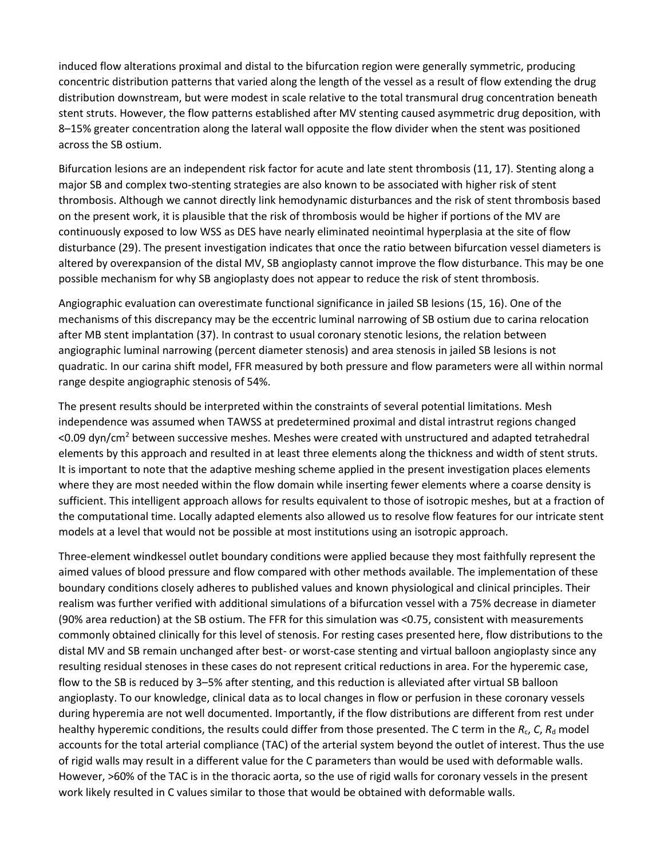induced flow alterations proximal and distal to the bifurcation region were generally symmetric, producing concentric distribution patterns that varied along the length of the vessel as a result of flow extending the drug distribution downstream, but were modest in scale relative to the total transmural drug concentration beneath stent struts. However, the flow patterns established after MV stenting caused asymmetric drug deposition, with 8–15% greater concentration along the lateral wall opposite the flow divider when the stent was positioned across the SB ostium.

Bifurcation lesions are an independent risk factor for acute and late stent thrombosis (11, 17). Stenting along a major SB and complex two-stenting strategies are also known to be associated with higher risk of stent thrombosis. Although we cannot directly link hemodynamic disturbances and the risk of stent thrombosis based on the present work, it is plausible that the risk of thrombosis would be higher if portions of the MV are continuously exposed to low WSS as DES have nearly eliminated neointimal hyperplasia at the site of flow disturbance (29). The present investigation indicates that once the ratio between bifurcation vessel diameters is altered by overexpansion of the distal MV, SB angioplasty cannot improve the flow disturbance. This may be one possible mechanism for why SB angioplasty does not appear to reduce the risk of stent thrombosis.

Angiographic evaluation can overestimate functional significance in jailed SB lesions (15, 16). One of the mechanisms of this discrepancy may be the eccentric luminal narrowing of SB ostium due to carina relocation after MB stent implantation (37). In contrast to usual coronary stenotic lesions, the relation between angiographic luminal narrowing (percent diameter stenosis) and area stenosis in jailed SB lesions is not quadratic. In our carina shift model, FFR measured by both pressure and flow parameters were all within normal range despite angiographic stenosis of 54%.

The present results should be interpreted within the constraints of several potential limitations. Mesh independence was assumed when TAWSS at predetermined proximal and distal intrastrut regions changed <0.09 dyn/cm2 between successive meshes. Meshes were created with unstructured and adapted tetrahedral elements by this approach and resulted in at least three elements along the thickness and width of stent struts. It is important to note that the adaptive meshing scheme applied in the present investigation places elements where they are most needed within the flow domain while inserting fewer elements where a coarse density is sufficient. This intelligent approach allows for results equivalent to those of isotropic meshes, but at a fraction of the computational time. Locally adapted elements also allowed us to resolve flow features for our intricate stent models at a level that would not be possible at most institutions using an isotropic approach.

Three-element windkessel outlet boundary conditions were applied because they most faithfully represent the aimed values of blood pressure and flow compared with other methods available. The implementation of these boundary conditions closely adheres to published values and known physiological and clinical principles. Their realism was further verified with additional simulations of a bifurcation vessel with a 75% decrease in diameter (90% area reduction) at the SB ostium. The FFR for this simulation was <0.75, consistent with measurements commonly obtained clinically for this level of stenosis. For resting cases presented here, flow distributions to the distal MV and SB remain unchanged after best- or worst-case stenting and virtual balloon angioplasty since any resulting residual stenoses in these cases do not represent critical reductions in area. For the hyperemic case, flow to the SB is reduced by 3–5% after stenting, and this reduction is alleviated after virtual SB balloon angioplasty. To our knowledge, clinical data as to local changes in flow or perfusion in these coronary vessels during hyperemia are not well documented. Importantly, if the flow distributions are different from rest under healthy hyperemic conditions, the results could differ from those presented. The C term in the *R<sub>c</sub>*, *C*, *R*<sub>d</sub> model accounts for the total arterial compliance (TAC) of the arterial system beyond the outlet of interest. Thus the use of rigid walls may result in a different value for the C parameters than would be used with deformable walls. However, >60% of the TAC is in the thoracic aorta, so the use of rigid walls for coronary vessels in the present work likely resulted in C values similar to those that would be obtained with deformable walls.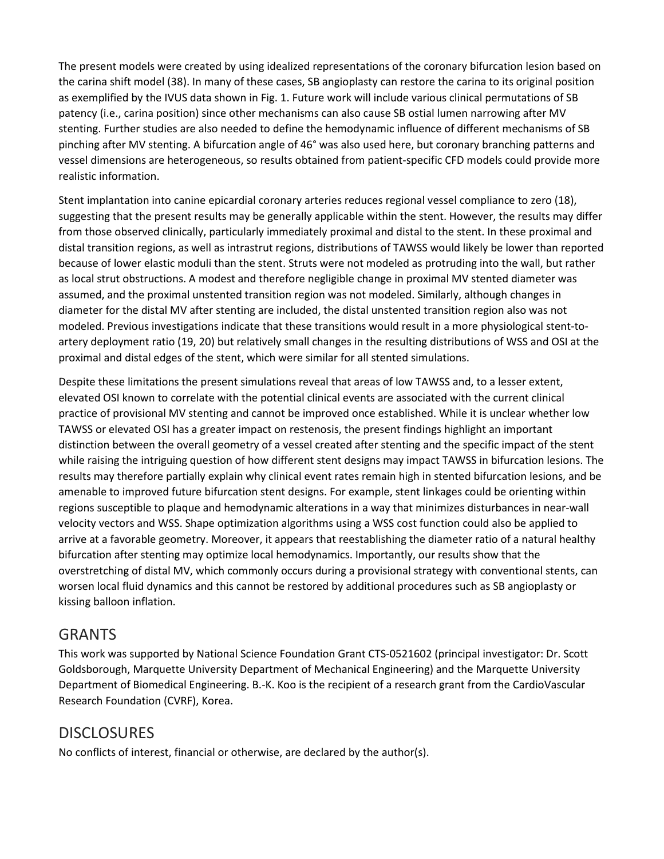The present models were created by using idealized representations of the coronary bifurcation lesion based on the carina shift model (38). In many of these cases, SB angioplasty can restore the carina to its original position as exemplified by the IVUS data shown in Fig. 1. Future work will include various clinical permutations of SB patency (i.e., carina position) since other mechanisms can also cause SB ostial lumen narrowing after MV stenting. Further studies are also needed to define the hemodynamic influence of different mechanisms of SB pinching after MV stenting. A bifurcation angle of 46° was also used here, but coronary branching patterns and vessel dimensions are heterogeneous, so results obtained from patient-specific CFD models could provide more realistic information.

Stent implantation into canine epicardial coronary arteries reduces regional vessel compliance to zero (18), suggesting that the present results may be generally applicable within the stent. However, the results may differ from those observed clinically, particularly immediately proximal and distal to the stent. In these proximal and distal transition regions, as well as intrastrut regions, distributions of TAWSS would likely be lower than reported because of lower elastic moduli than the stent. Struts were not modeled as protruding into the wall, but rather as local strut obstructions. A modest and therefore negligible change in proximal MV stented diameter was assumed, and the proximal unstented transition region was not modeled. Similarly, although changes in diameter for the distal MV after stenting are included, the distal unstented transition region also was not modeled. Previous investigations indicate that these transitions would result in a more physiological stent-toartery deployment ratio (19, 20) but relatively small changes in the resulting distributions of WSS and OSI at the proximal and distal edges of the stent, which were similar for all stented simulations.

Despite these limitations the present simulations reveal that areas of low TAWSS and, to a lesser extent, elevated OSI known to correlate with the potential clinical events are associated with the current clinical practice of provisional MV stenting and cannot be improved once established. While it is unclear whether low TAWSS or elevated OSI has a greater impact on restenosis, the present findings highlight an important distinction between the overall geometry of a vessel created after stenting and the specific impact of the stent while raising the intriguing question of how different stent designs may impact TAWSS in bifurcation lesions. The results may therefore partially explain why clinical event rates remain high in stented bifurcation lesions, and be amenable to improved future bifurcation stent designs. For example, stent linkages could be orienting within regions susceptible to plaque and hemodynamic alterations in a way that minimizes disturbances in near-wall velocity vectors and WSS. Shape optimization algorithms using a WSS cost function could also be applied to arrive at a favorable geometry. Moreover, it appears that reestablishing the diameter ratio of a natural healthy bifurcation after stenting may optimize local hemodynamics. Importantly, our results show that the overstretching of distal MV, which commonly occurs during a provisional strategy with conventional stents, can worsen local fluid dynamics and this cannot be restored by additional procedures such as SB angioplasty or kissing balloon inflation.

## GRANTS

This work was supported by National Science Foundation Grant CTS-0521602 (principal investigator: Dr. Scott Goldsborough, Marquette University Department of Mechanical Engineering) and the Marquette University Department of Biomedical Engineering. B.-K. Koo is the recipient of a research grant from the CardioVascular Research Foundation (CVRF), Korea.

## **DISCLOSURES**

No conflicts of interest, financial or otherwise, are declared by the author(s).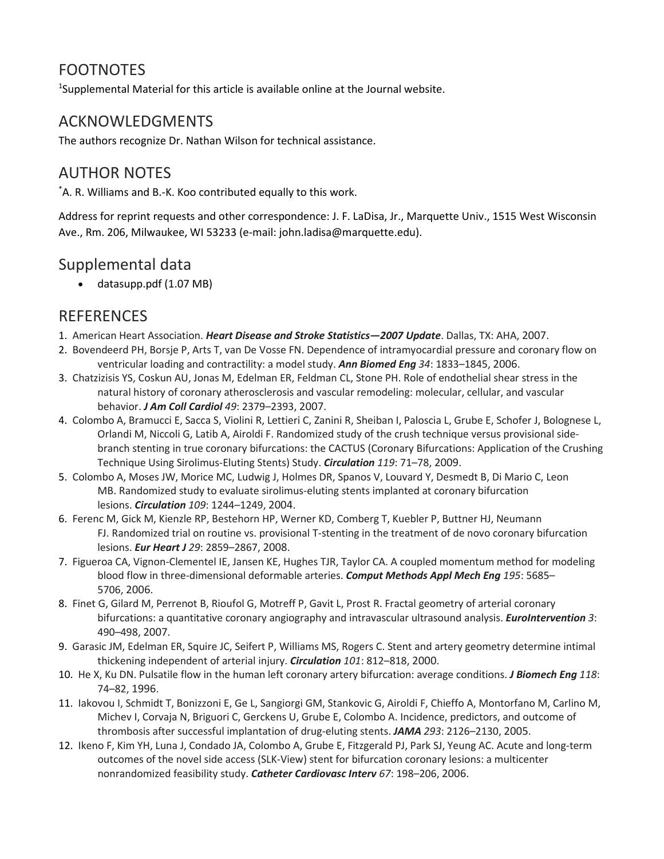## FOOTNOTES

<sup>1</sup>Supplemental Material for this article is available online at the Journal website.

## ACKNOWLEDGMENTS

The authors recognize Dr. Nathan Wilson for technical assistance.

## AUTHOR NOTES

\* A. R. Williams and B.-K. Koo contributed equally to this work.

Address for reprint requests and other correspondence: J. F. LaDisa, Jr., Marquette Univ., 1515 West Wisconsin Ave., Rm. 206, Milwaukee, WI 53233 (e-mail: john.ladisa@marquette.edu).

## Supplemental data

• datasupp.pdf (1.07 MB)

## **REFERENCES**

- 1. American Heart Association. *Heart Disease and Stroke Statistics—2007 Update*. Dallas, TX: AHA, 2007.
- 2. Bovendeerd PH, Borsje P, Arts T, van De Vosse FN. Dependence of intramyocardial pressure and coronary flow on ventricular loading and contractility: a model study. *Ann Biomed Eng 34*: 1833–1845, 2006.
- 3. Chatzizisis YS, Coskun AU, Jonas M, Edelman ER, Feldman CL, Stone PH. Role of endothelial shear stress in the natural history of coronary atherosclerosis and vascular remodeling: molecular, cellular, and vascular behavior. *J Am Coll Cardiol 49*: 2379–2393, 2007.
- 4. Colombo A, Bramucci E, Sacca S, Violini R, Lettieri C, Zanini R, Sheiban I, Paloscia L, Grube E, Schofer J, Bolognese L, Orlandi M, Niccoli G, Latib A, Airoldi F. Randomized study of the crush technique versus provisional sidebranch stenting in true coronary bifurcations: the CACTUS (Coronary Bifurcations: Application of the Crushing Technique Using Sirolimus-Eluting Stents) Study. *Circulation 119*: 71–78, 2009.
- 5. Colombo A, Moses JW, Morice MC, Ludwig J, Holmes DR, Spanos V, Louvard Y, Desmedt B, Di Mario C, Leon MB. Randomized study to evaluate sirolimus-eluting stents implanted at coronary bifurcation lesions. *Circulation 109*: 1244–1249, 2004.
- 6. Ferenc M, Gick M, Kienzle RP, Bestehorn HP, Werner KD, Comberg T, Kuebler P, Buttner HJ, Neumann FJ. Randomized trial on routine vs. provisional T-stenting in the treatment of de novo coronary bifurcation lesions. *Eur Heart J 29*: 2859–2867, 2008.
- 7. Figueroa CA, Vignon-Clementel IE, Jansen KE, Hughes TJR, Taylor CA. A coupled momentum method for modeling blood flow in three-dimensional deformable arteries. *Comput Methods Appl Mech Eng 195*: 5685– 5706, 2006.
- 8. Finet G, Gilard M, Perrenot B, Rioufol G, Motreff P, Gavit L, Prost R. Fractal geometry of arterial coronary bifurcations: a quantitative coronary angiography and intravascular ultrasound analysis. *EuroIntervention 3*: 490–498, 2007.
- 9. Garasic JM, Edelman ER, Squire JC, Seifert P, Williams MS, Rogers C. Stent and artery geometry determine intimal thickening independent of arterial injury. *Circulation 101*: 812–818, 2000.
- 10. He X, Ku DN. Pulsatile flow in the human left coronary artery bifurcation: average conditions. *J Biomech Eng 118*: 74–82, 1996.
- 11. Iakovou I, Schmidt T, Bonizzoni E, Ge L, Sangiorgi GM, Stankovic G, Airoldi F, Chieffo A, Montorfano M, Carlino M, Michev I, Corvaja N, Briguori C, Gerckens U, Grube E, Colombo A. Incidence, predictors, and outcome of thrombosis after successful implantation of drug-eluting stents. *JAMA 293*: 2126–2130, 2005.
- 12. Ikeno F, Kim YH, Luna J, Condado JA, Colombo A, Grube E, Fitzgerald PJ, Park SJ, Yeung AC. Acute and long-term outcomes of the novel side access (SLK-View) stent for bifurcation coronary lesions: a multicenter nonrandomized feasibility study. *Catheter Cardiovasc Interv 67*: 198–206, 2006.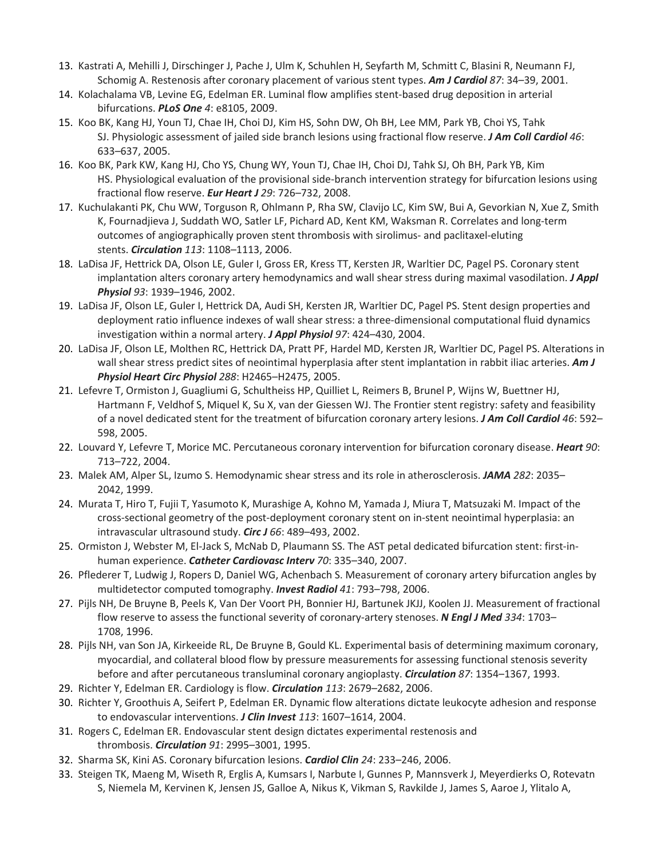- 13. Kastrati A, Mehilli J, Dirschinger J, Pache J, Ulm K, Schuhlen H, Seyfarth M, Schmitt C, Blasini R, Neumann FJ, Schomig A. Restenosis after coronary placement of various stent types. *Am J Cardiol 87*: 34–39, 2001.
- 14. Kolachalama VB, Levine EG, Edelman ER. Luminal flow amplifies stent-based drug deposition in arterial bifurcations. *PLoS One 4*: e8105, 2009.
- 15. Koo BK, Kang HJ, Youn TJ, Chae IH, Choi DJ, Kim HS, Sohn DW, Oh BH, Lee MM, Park YB, Choi YS, Tahk SJ. Physiologic assessment of jailed side branch lesions using fractional flow reserve. *J Am Coll Cardiol 46*: 633–637, 2005.
- 16. Koo BK, Park KW, Kang HJ, Cho YS, Chung WY, Youn TJ, Chae IH, Choi DJ, Tahk SJ, Oh BH, Park YB, Kim HS. Physiological evaluation of the provisional side-branch intervention strategy for bifurcation lesions using fractional flow reserve. *Eur Heart J 29*: 726–732, 2008.
- 17. Kuchulakanti PK, Chu WW, Torguson R, Ohlmann P, Rha SW, Clavijo LC, Kim SW, Bui A, Gevorkian N, Xue Z, Smith K, Fournadjieva J, Suddath WO, Satler LF, Pichard AD, Kent KM, Waksman R. Correlates and long-term outcomes of angiographically proven stent thrombosis with sirolimus- and paclitaxel-eluting stents. *Circulation 113*: 1108–1113, 2006.
- 18. LaDisa JF, Hettrick DA, Olson LE, Guler I, Gross ER, Kress TT, Kersten JR, Warltier DC, Pagel PS. Coronary stent implantation alters coronary artery hemodynamics and wall shear stress during maximal vasodilation. *J Appl Physiol 93*: 1939–1946, 2002.
- 19. LaDisa JF, Olson LE, Guler I, Hettrick DA, Audi SH, Kersten JR, Warltier DC, Pagel PS. Stent design properties and deployment ratio influence indexes of wall shear stress: a three-dimensional computational fluid dynamics investigation within a normal artery. *J Appl Physiol 97*: 424–430, 2004.
- 20. LaDisa JF, Olson LE, Molthen RC, Hettrick DA, Pratt PF, Hardel MD, Kersten JR, Warltier DC, Pagel PS. Alterations in wall shear stress predict sites of neointimal hyperplasia after stent implantation in rabbit iliac arteries. *Am J Physiol Heart Circ Physiol 288*: H2465–H2475, 2005.
- 21. Lefevre T, Ormiston J, Guagliumi G, Schultheiss HP, Quilliet L, Reimers B, Brunel P, Wijns W, Buettner HJ, Hartmann F, Veldhof S, Miquel K, Su X, van der Giessen WJ. The Frontier stent registry: safety and feasibility of a novel dedicated stent for the treatment of bifurcation coronary artery lesions. *J Am Coll Cardiol 46*: 592– 598, 2005.
- 22. Louvard Y, Lefevre T, Morice MC. Percutaneous coronary intervention for bifurcation coronary disease. *Heart 90*: 713–722, 2004.
- 23. Malek AM, Alper SL, Izumo S. Hemodynamic shear stress and its role in atherosclerosis. *JAMA 282*: 2035– 2042, 1999.
- 24. Murata T, Hiro T, Fujii T, Yasumoto K, Murashige A, Kohno M, Yamada J, Miura T, Matsuzaki M. Impact of the cross-sectional geometry of the post-deployment coronary stent on in-stent neointimal hyperplasia: an intravascular ultrasound study. *Circ J 66*: 489–493, 2002.
- 25. Ormiston J, Webster M, El-Jack S, McNab D, Plaumann SS. The AST petal dedicated bifurcation stent: first-inhuman experience. *Catheter Cardiovasc Interv 70*: 335–340, 2007.
- 26. Pflederer T, Ludwig J, Ropers D, Daniel WG, Achenbach S. Measurement of coronary artery bifurcation angles by multidetector computed tomography. *Invest Radiol 41*: 793–798, 2006.
- 27. Pijls NH, De Bruyne B, Peels K, Van Der Voort PH, Bonnier HJ, Bartunek JKJJ, Koolen JJ. Measurement of fractional flow reserve to assess the functional severity of coronary-artery stenoses. *N Engl J Med 334*: 1703– 1708, 1996.
- 28. Pijls NH, van Son JA, Kirkeeide RL, De Bruyne B, Gould KL. Experimental basis of determining maximum coronary, myocardial, and collateral blood flow by pressure measurements for assessing functional stenosis severity before and after percutaneous transluminal coronary angioplasty. *Circulation 87*: 1354–1367, 1993.
- 29. Richter Y, Edelman ER. Cardiology is flow. *Circulation 113*: 2679–2682, 2006.
- 30. Richter Y, Groothuis A, Seifert P, Edelman ER. Dynamic flow alterations dictate leukocyte adhesion and response to endovascular interventions. *J Clin Invest 113*: 1607–1614, 2004.
- 31. Rogers C, Edelman ER. Endovascular stent design dictates experimental restenosis and thrombosis. *Circulation 91*: 2995–3001, 1995.
- 32. Sharma SK, Kini AS. Coronary bifurcation lesions. *Cardiol Clin 24*: 233–246, 2006.
- 33. Steigen TK, Maeng M, Wiseth R, Erglis A, Kumsars I, Narbute I, Gunnes P, Mannsverk J, Meyerdierks O, Rotevatn S, Niemela M, Kervinen K, Jensen JS, Galloe A, Nikus K, Vikman S, Ravkilde J, James S, Aaroe J, Ylitalo A,